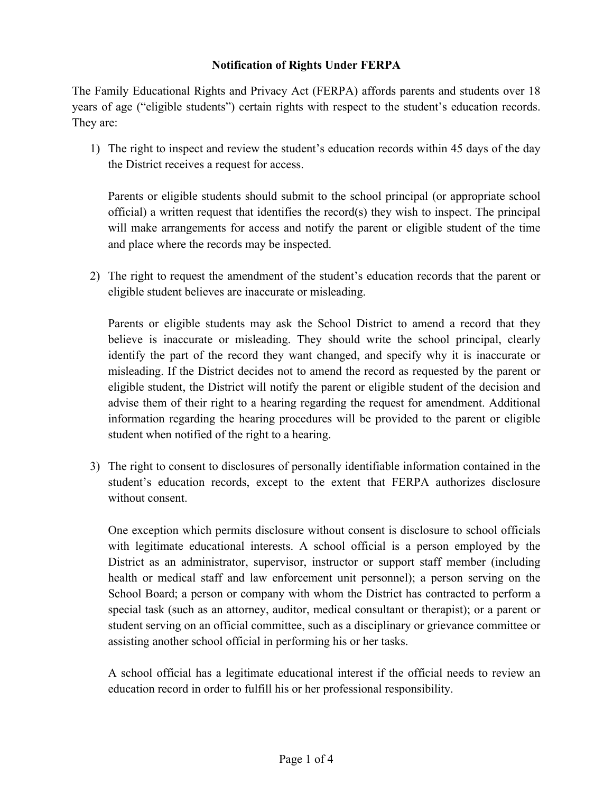## **Notification of Rights Under FERPA**

The Family Educational Rights and Privacy Act (FERPA) affords parents and students over 18 years of age ("eligible students") certain rights with respect to the student's education records. They are:

1) The right to inspect and review the student's education records within 45 days of the day the District receives a request for access.

Parents or eligible students should submit to the school principal (or appropriate school official) a written request that identifies the record(s) they wish to inspect. The principal will make arrangements for access and notify the parent or eligible student of the time and place where the records may be inspected.

2) The right to request the amendment of the student's education records that the parent or eligible student believes are inaccurate or misleading.

Parents or eligible students may ask the School District to amend a record that they believe is inaccurate or misleading. They should write the school principal, clearly identify the part of the record they want changed, and specify why it is inaccurate or misleading. If the District decides not to amend the record as requested by the parent or eligible student, the District will notify the parent or eligible student of the decision and advise them of their right to a hearing regarding the request for amendment. Additional information regarding the hearing procedures will be provided to the parent or eligible student when notified of the right to a hearing.

3) The right to consent to disclosures of personally identifiable information contained in the student's education records, except to the extent that FERPA authorizes disclosure without consent.

One exception which permits disclosure without consent is disclosure to school officials with legitimate educational interests. A school official is a person employed by the District as an administrator, supervisor, instructor or support staff member (including health or medical staff and law enforcement unit personnel); a person serving on the School Board; a person or company with whom the District has contracted to perform a special task (such as an attorney, auditor, medical consultant or therapist); or a parent or student serving on an official committee, such as a disciplinary or grievance committee or assisting another school official in performing his or her tasks.

A school official has a legitimate educational interest if the official needs to review an education record in order to fulfill his or her professional responsibility.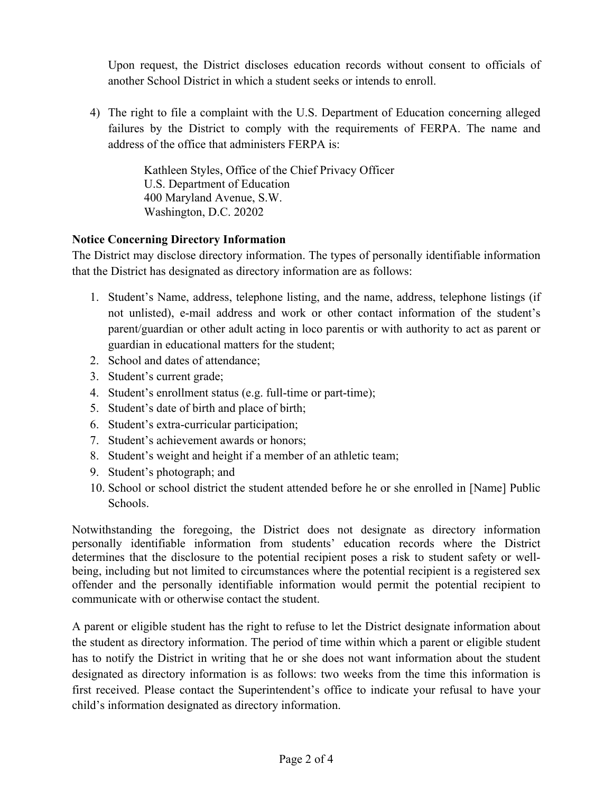Upon request, the District discloses education records without consent to officials of another School District in which a student seeks or intends to enroll.

4) The right to file a complaint with the U.S. Department of Education concerning alleged failures by the District to comply with the requirements of FERPA. The name and address of the office that administers FERPA is:

> Kathleen Styles, Office of the Chief Privacy Officer U.S. Department of Education 400 Maryland Avenue, S.W. Washington, D.C. 20202

## **Notice Concerning Directory Information**

The District may disclose directory information. The types of personally identifiable information that the District has designated as directory information are as follows:

- 1. Student's Name, address, telephone listing, and the name, address, telephone listings (if not unlisted), e-mail address and work or other contact information of the student's parent/guardian or other adult acting in loco parentis or with authority to act as parent or guardian in educational matters for the student;
- 2. School and dates of attendance;
- 3. Student's current grade;
- 4. Student's enrollment status (e.g. full-time or part-time);
- 5. Student's date of birth and place of birth;
- 6. Student's extra-curricular participation;
- 7. Student's achievement awards or honors;
- 8. Student's weight and height if a member of an athletic team;
- 9. Student's photograph; and
- 10. School or school district the student attended before he or she enrolled in [Name] Public Schools.

Notwithstanding the foregoing, the District does not designate as directory information personally identifiable information from students' education records where the District determines that the disclosure to the potential recipient poses a risk to student safety or wellbeing, including but not limited to circumstances where the potential recipient is a registered sex offender and the personally identifiable information would permit the potential recipient to communicate with or otherwise contact the student.

A parent or eligible student has the right to refuse to let the District designate information about the student as directory information. The period of time within which a parent or eligible student has to notify the District in writing that he or she does not want information about the student designated as directory information is as follows: two weeks from the time this information is first received. Please contact the Superintendent's office to indicate your refusal to have your child's information designated as directory information.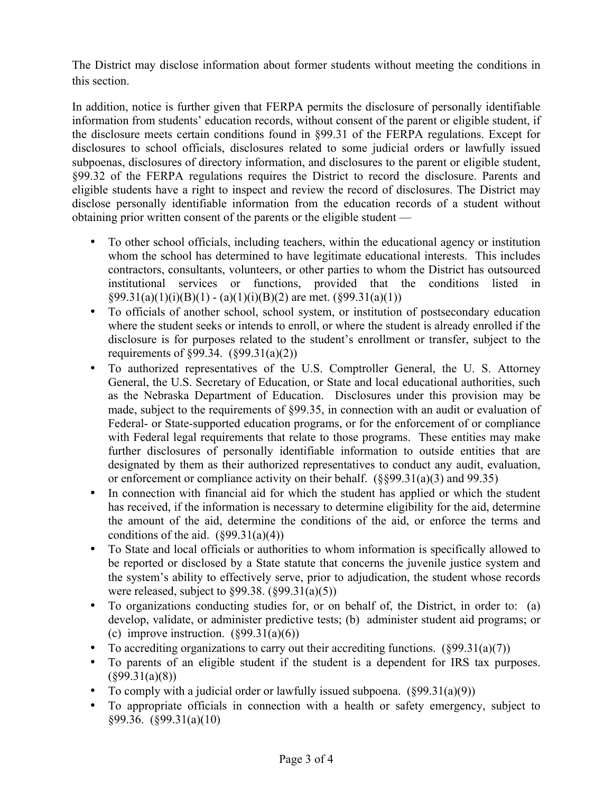The District may disclose information about former students without meeting the conditions in this section.

In addition, notice is further given that FERPA permits the disclosure of personally identifiable information from students' education records, without consent of the parent or eligible student, if the disclosure meets certain conditions found in §99.31 of the FERPA regulations. Except for disclosures to school officials, disclosures related to some judicial orders or lawfully issued subpoenas, disclosures of directory information, and disclosures to the parent or eligible student, §99.32 of the FERPA regulations requires the District to record the disclosure. Parents and eligible students have a right to inspect and review the record of disclosures. The District may disclose personally identifiable information from the education records of a student without obtaining prior written consent of the parents or the eligible student —

- To other school officials, including teachers, within the educational agency or institution whom the school has determined to have legitimate educational interests. This includes contractors, consultants, volunteers, or other parties to whom the District has outsourced institutional services or functions, provided that the conditions listed in  $\S99.31(a)(1)(i)(B)(1) - (a)(1)(i)(B)(2)$  are met.  $(\S99.31(a)(1))$
- To officials of another school, school system, or institution of postsecondary education where the student seeks or intends to enroll, or where the student is already enrolled if the disclosure is for purposes related to the student's enrollment or transfer, subject to the requirements of §99.34. (§99.31(a)(2))
- To authorized representatives of the U.S. Comptroller General, the U. S. Attorney General, the U.S. Secretary of Education, or State and local educational authorities, such as the Nebraska Department of Education. Disclosures under this provision may be made, subject to the requirements of §99.35, in connection with an audit or evaluation of Federal- or State-supported education programs, or for the enforcement of or compliance with Federal legal requirements that relate to those programs. These entities may make further disclosures of personally identifiable information to outside entities that are designated by them as their authorized representatives to conduct any audit, evaluation, or enforcement or compliance activity on their behalf. (§§99.31(a)(3) and 99.35)
- In connection with financial aid for which the student has applied or which the student has received, if the information is necessary to determine eligibility for the aid, determine the amount of the aid, determine the conditions of the aid, or enforce the terms and conditions of the aid.  $(899.31(a)(4))$
- To State and local officials or authorities to whom information is specifically allowed to be reported or disclosed by a State statute that concerns the juvenile justice system and the system's ability to effectively serve, prior to adjudication, the student whose records were released, subject to §99.38. (§99.31(a)(5))
- To organizations conducting studies for, or on behalf of, the District, in order to: (a) develop, validate, or administer predictive tests; (b) administer student aid programs; or (c) improve instruction.  $(\S 99.31(a)(6))$
- To accrediting organizations to carry out their accrediting functions.  $(\S 99.31(a)(7))$
- To parents of an eligible student if the student is a dependent for IRS tax purposes.  $(\S 99.31(a)(8))$
- To comply with a judicial order or lawfully issued subpoena.  $(\frac{899.31(a)(9)}{90.31(a)(9)}$
- To appropriate officials in connection with a health or safety emergency, subject to §99.36. (§99.31(a)(10)